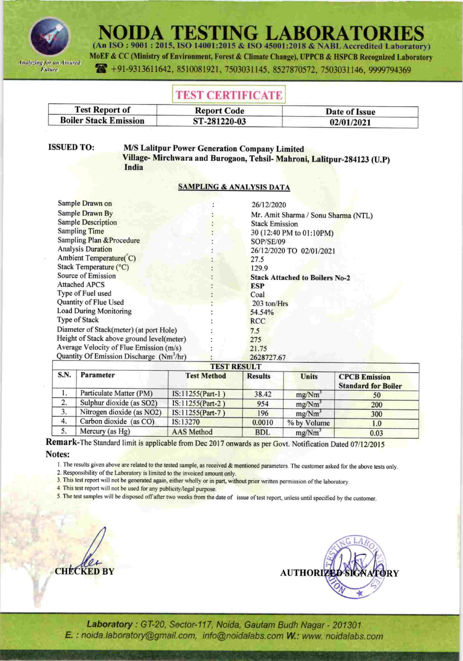

**IDA TESTING LABORATOI** (An ISO: 9001: 2015, ISO 14001:2015 & ISO 45001:2018 & NABL Accredited Laboratory)

MoEF & CC (Ministry of Environment, Forest & Climate Change), UPPCB & HSPCB Recognized Laboratory 491-9313611642, 8510081921, 7503031145, 8527870572, 7503031146, 9999794369

# **TEST CERTIFICATE**

| <b>Test Report of</b>        | <b>Report Code</b> | Date of Issue |
|------------------------------|--------------------|---------------|
| <b>Boiler Stack Emission</b> | ST-281220-03       | 02/01/2021    |

**ISSUED TO:** 

**M/S Lalitpur Power Generation Company Limited** Village-Mirchwara and Burogaon, Tehsil-Mahroni, Lalitpur-284123 (U.P) India

## **SAMPLING & ANALYSIS DATA**

| Sample Drawn on                                      | 26/12/2020                            |
|------------------------------------------------------|---------------------------------------|
| Sample Drawn By                                      | Mr. Amit Sharma / Sonu Sharma (NTL)   |
| <b>Sample Description</b>                            | <b>Stack Emission</b>                 |
| <b>Sampling Time</b>                                 | 30 (12:40 PM to 01:10PM)              |
| Sampling Plan & Procedure                            | SOP/SE/09                             |
| <b>Analysis Duration</b>                             | 26/12/2020 TO 02/01/2021              |
| Ambient Temperature(C)                               | 27.5                                  |
| Stack Temperature (°C)                               | 129.9                                 |
| Source of Emission                                   | <b>Stack Attached to Boilers No-2</b> |
| <b>Attached APCS</b>                                 | <b>ESP</b>                            |
| Type of Fuel used                                    | Coal                                  |
| Quantity of Flue Used                                | 203 ton/Hrs                           |
| <b>Load During Monitoring</b>                        | 54.54%                                |
| Type of Stack                                        | <b>RCC</b>                            |
| Diameter of Stack(meter) (at port Hole)              | 7.5                                   |
| Height of Stack above ground level(meter)            | 275                                   |
| Average Velocity of Flue Emission (m/s)              | 21.75                                 |
| Quantity Of Emission Discharge (Nm <sup>3</sup> /hr) | 2628727.67                            |

## **TEST RESULT**

| S.N. | Parameter                 | <b>Test Method</b> | <b>Results</b> | Units              | <b>CPCB Emission</b><br><b>Standard for Boiler</b> |
|------|---------------------------|--------------------|----------------|--------------------|----------------------------------------------------|
|      | Particulate Matter (PM)   | IS:11255(Part-1)   | 38.42          | mg/Nm <sup>3</sup> | 50                                                 |
| 2.   | Sulphur dioxide (as SO2)  | IS:11255(Part-2)   | 954            | mg/Nm <sup>3</sup> | 200                                                |
| 3.   | Nitrogen dioxide (as NO2) | IS:11255(Part-7)   | 196            | mg/Nm <sup>3</sup> | 300                                                |
| 4.   | Carbon dioxide (as CO)    | IS:13270           | 0.0010         | % by Volume        | 1.0                                                |
|      | Mercury (as $Hg$ )        | <b>AAS</b> Method  | <b>BDL</b>     | mg/Nm <sup>3</sup> | 0.03                                               |

Remark-The Standard limit is applicable from Dec 2017 onwards as per Govt. Notification Dated 07/12/2015

Notes:

1. The results given above are related to the tested sample, as received & mentioned parameters. The customer asked for the above tests only.

2. Responsibility of the Laboratory is limited to the invoiced amount only.

3. This test report will not be generated again, either wholly or in part, without prior written permission of the laboratory.

4. This test report will not be used for any publicity/legal purpose.

5. The test samples will be disposed off after two weeks from the date of issue of test report, unless until specified by the customer.





Laboratory: GT-20, Sector-117, Noida, Gautam Budh Nagar - 201301 E. : noida.laboratory@gmail.com, info@noidalabs.com W.: www. noidalabs.com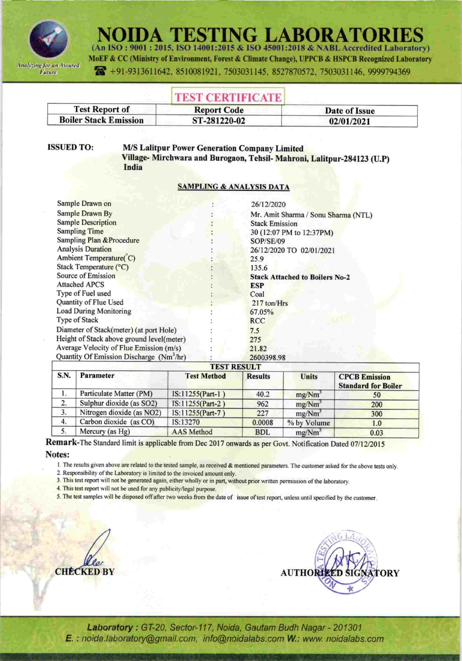

NOIDA TESTING LABORATO (An ISO: 9001: 2015, ISO 14001:2015 & ISO 45001:2018 & NABL Accredited Laboratory)

MoEF & CC (Ministry of Environment, Forest & Climate Change), UPPCB & HSPCB Recognized Laboratory 491-9313611642, 8510081921, 7503031145, 8527870572, 7503031146, 9999794369

## TEST CERTIFICATE

| <b>Report Code</b> | Date of Issue |  |
|--------------------|---------------|--|
| ST-281220-02       | 02/01/2021    |  |
|                    |               |  |

**ISSUED TO:** 

### **M/S Lalitpur Power Generation Company Limited** Village-Mirchwara and Burogaon, Tehsil-Mahroni, Lalitpur-284123 (U.P) India

### **SAMPLING & ANALYSIS DATA**

|                                                      | TECT DECIH T                          |
|------------------------------------------------------|---------------------------------------|
| Quantity Of Emission Discharge (Nm <sup>3</sup> /hr) | 2600398.98                            |
| Average Velocity of Flue Emission (m/s)              | 21.82                                 |
| Height of Stack above ground level(meter)            | 275                                   |
| Diameter of Stack(meter) (at port Hole)              | 7.5                                   |
| Type of Stack                                        | <b>RCC</b>                            |
| Load During Monitoring                               | 67.05%                                |
| Quantity of Flue Used                                | 217 ton/Hrs                           |
| Type of Fuel used                                    | Coal                                  |
| <b>Attached APCS</b>                                 | <b>ESP</b>                            |
| Source of Emission                                   | <b>Stack Attached to Boilers No-2</b> |
| Stack Temperature (°C)                               | 135.6                                 |
| Ambient Temperature(C)                               | 25.9                                  |
| <b>Analysis Duration</b>                             | 26/12/2020 TO 02/01/2021              |
| <b>Sampling Plan &amp; Procedure</b>                 | <b>SOP/SE/09</b>                      |
| <b>Sampling Time</b>                                 | 30 (12:07 PM to 12:37PM)              |
| <b>Sample Description</b>                            | <b>Stack Emission</b>                 |
| Sample Drawn By                                      | Mr. Amit Sharma / Sonu Sharma (NTL)   |
| Sample Drawn on                                      | 26/12/2020                            |

#### **TEST RESULT**

| S.N. | Parameter                 | <b>Test Method</b> | <b>Results</b> | <b>Units</b>       | <b>CPCB Emission</b><br><b>Standard for Boiler</b> |
|------|---------------------------|--------------------|----------------|--------------------|----------------------------------------------------|
|      | Particulate Matter (PM)   | IS:11255(Part-1)   | 40.2           | mg/Nm <sup>3</sup> | 50                                                 |
|      | Sulphur dioxide (as SO2)  | IS:11255(Part-2)   | 962            | mg/Nm <sup>3</sup> | 200                                                |
|      | Nitrogen dioxide (as NO2) | IS:11255(Part-7)   | 227            | mg/Nm <sup>3</sup> | 300                                                |
| 4.   | Carbon dioxide (as CO)    | IS:13270           | 0.0008         | % by Volume        | 1.0                                                |
|      | Mercury (as Hg)           | <b>AAS</b> Method  | <b>BDL</b>     | mg/Nm <sup>3</sup> | 0.03                                               |

Remark-The Standard limit is applicable from Dec 2017 onwards as per Govt. Notification Dated 07/12/2015 Notes:

1. The results given above are related to the tested sample, as received & mentioned parameters. The customer asked for the above tests only.

2. Responsibility of the Laboratory is limited to the invoiced amount only.

3. This test report will not be generated again, either wholly or in part, without prior written permission of the laboratory.

4. This test report will not be used for any publicity/legal purpose.

5. The test samples will be disposed off after two weeks from the date of issue of test report, unless until specified by the customer.





Laboratory: GT-20, Sector-117, Noida, Gautam Budh Nagar - 201301 E.: noida.laboratory@gmail.com, info@noidalabs.com W.: www.noidalabs.com